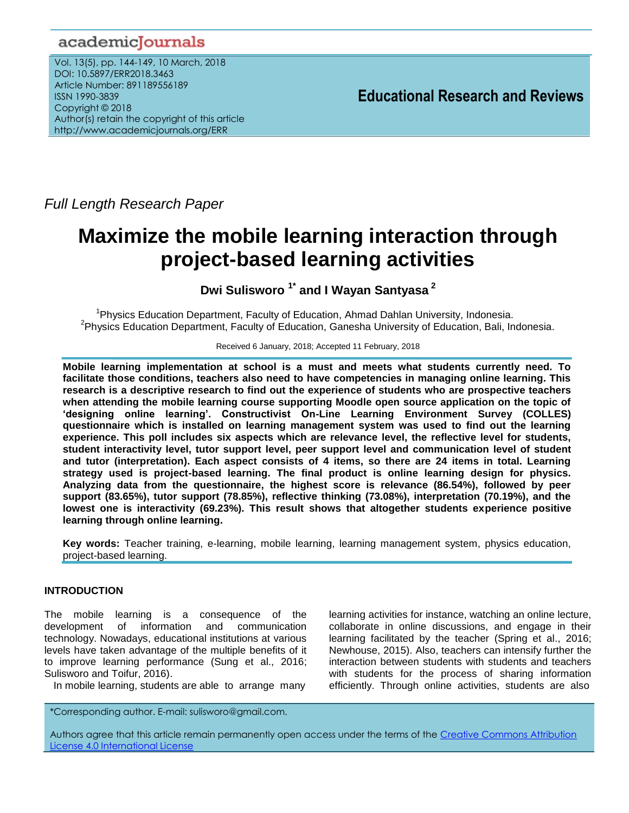# academicJournals

Vol. 13(5), pp. 144-149, 10 March, 2018 DOI: 10.5897/ERR2018.3463 Article Number: 891189556189 ISSN 1990-3839 Copyright © 2018 Author(s) retain the copyright of this article http://www.academicjournals.org/ERR

*Full Length Research Paper* 

# **Maximize the mobile learning interaction through project-based learning activities**

**Dwi Sulisworo 1\* and I Wayan Santyasa <sup>2</sup>**

<sup>1</sup>Physics Education Department, Faculty of Education, Ahmad Dahlan University, Indonesia. <sup>2</sup>Physics Education Department, Faculty of Education, Ganesha University of Education, Bali, Indonesia.

Received 6 January, 2018; Accepted 11 February, 2018

**Mobile learning implementation at school is a must and meets what students currently need. To facilitate those conditions, teachers also need to have competencies in managing online learning. This research is a descriptive research to find out the experience of students who are prospective teachers when attending the mobile learning course supporting Moodle open source application on the topic of 'designing online learning'. Constructivist On-Line Learning Environment Survey (COLLES) questionnaire which is installed on learning management system was used to find out the learning experience. This poll includes six aspects which are relevance level, the reflective level for students, student interactivity level, tutor support level, peer support level and communication level of student and tutor (interpretation). Each aspect consists of 4 items, so there are 24 items in total. Learning strategy used is project-based learning. The final product is online learning design for physics. Analyzing data from the questionnaire, the highest score is relevance (86.54%), followed by peer support (83.65%), tutor support (78.85%), reflective thinking (73.08%), interpretation (70.19%), and the lowest one is interactivity (69.23%). This result shows that altogether students experience positive learning through online learning.** 

**Key words:** Teacher training, e-learning, mobile learning, learning management system, physics education, project-based learning.

## **INTRODUCTION**

The mobile learning is a consequence of the development of information and communication technology. Nowadays, educational institutions at various levels have taken advantage of the multiple benefits of it to improve learning performance (Sung et al., 2016; Sulisworo and Toifur, 2016).

In mobile learning, students are able to arrange many

learning activities for instance, watching an online lecture, collaborate in online discussions, and engage in their learning facilitated by the teacher (Spring et al., 2016; Newhouse, 2015). Also, teachers can intensify further the interaction between students with students and teachers with students for the process of sharing information efficiently. Through online activities, students are also

\*Corresponding author. E-mail: sulisworo@gmail.com.

Authors agree that this article remain permanently open access under the terms of the Creative Commons Attribution [License 4.0 International License](file://192.168.1.24/reading/Arts%20and%20Education/ERR/2014/sept/read/Correction%20Pdf%201/ERR-17.04.14-1816/Publication/Creative%20Co)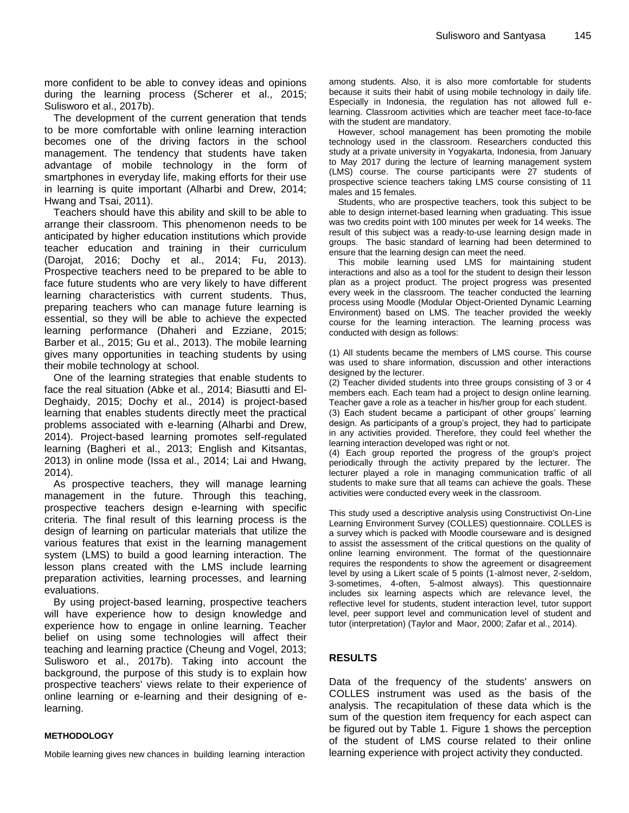more confident to be able to convey ideas and opinions during the learning process (Scherer et al., 2015; Sulisworo et al., 2017b).

The development of the current generation that tends to be more comfortable with online learning interaction becomes one of the driving factors in the school management. The tendency that students have taken advantage of mobile technology in the form of smartphones in everyday life, making efforts for their use in learning is quite important (Alharbi and Drew, 2014; Hwang and Tsai, 2011).

Teachers should have this ability and skill to be able to arrange their classroom. This phenomenon needs to be anticipated by higher education institutions which provide teacher education and training in their curriculum (Darojat, 2016; Dochy et al., 2014; Fu, 2013). Prospective teachers need to be prepared to be able to face future students who are very likely to have different learning characteristics with current students. Thus, preparing teachers who can manage future learning is essential, so they will be able to achieve the expected learning performance (Dhaheri and Ezziane, 2015; Barber et al., 2015; Gu et al., 2013). The mobile learning gives many opportunities in teaching students by using their mobile technology at school.

One of the learning strategies that enable students to face the real situation (Abke et al., 2014; Biasutti and El-Deghaidy, 2015; Dochy et al., 2014) is project-based learning that enables students directly meet the practical problems associated with e-learning (Alharbi and Drew, 2014). Project-based learning promotes self-regulated learning (Bagheri et al., 2013; English and Kitsantas, 2013) in online mode (Issa et al., 2014; Lai and Hwang, 2014).

As prospective teachers, they will manage learning management in the future. Through this teaching, prospective teachers design e-learning with specific criteria. The final result of this learning process is the design of learning on particular materials that utilize the various features that exist in the learning management system (LMS) to build a good learning interaction. The lesson plans created with the LMS include learning preparation activities, learning processes, and learning evaluations.

By using project-based learning, prospective teachers will have experience how to design knowledge and experience how to engage in online learning. Teacher belief on using some technologies will affect their teaching and learning practice (Cheung and Vogel, 2013; Sulisworo et al., 2017b). Taking into account the background, the purpose of this study is to explain how prospective teachers' views relate to their experience of online learning or e-learning and their designing of elearning.

#### **METHODOLOGY**

Mobile learning gives new chances in building learning interaction

among students. Also, it is also more comfortable for students because it suits their habit of using mobile technology in daily life. Especially in Indonesia, the regulation has not allowed full elearning. Classroom activities which are teacher meet face-to-face with the student are mandatory.

However, school management has been promoting the mobile technology used in the classroom. Researchers conducted this study at a private university in Yogyakarta, Indonesia, from January to May 2017 during the lecture of learning management system (LMS) course. The course participants were 27 students of prospective science teachers taking LMS course consisting of 11 males and 15 females.

Students, who are prospective teachers, took this subject to be able to design internet-based learning when graduating. This issue was two credits point with 100 minutes per week for 14 weeks. The result of this subject was a ready-to-use learning design made in groups. The basic standard of learning had been determined to ensure that the learning design can meet the need.

This mobile learning used LMS for maintaining student interactions and also as a tool for the student to design their lesson plan as a project product. The project progress was presented every week in the classroom. The teacher conducted the learning process using Moodle (Modular Object-Oriented Dynamic Learning Environment) based on LMS. The teacher provided the weekly course for the learning interaction. The learning process was conducted with design as follows:

(1) All students became the members of LMS course. This course was used to share information, discussion and other interactions designed by the lecturer.

(2) Teacher divided students into three groups consisting of 3 or 4 members each. Each team had a project to design online learning. Teacher gave a role as a teacher in his/her group for each student.

(3) Each student became a participant of other groups' learning design. As participants of a group's project, they had to participate in any activities provided. Therefore, they could feel whether the learning interaction developed was right or not.

(4) Each group reported the progress of the group's project periodically through the activity prepared by the lecturer. The lecturer played a role in managing communication traffic of all students to make sure that all teams can achieve the goals. These activities were conducted every week in the classroom.

This study used a descriptive analysis using Constructivist On-Line Learning Environment Survey (COLLES) questionnaire. COLLES is a survey which is packed with Moodle courseware and is designed to assist the assessment of the critical questions on the quality of online learning environment. The format of the questionnaire requires the respondents to show the agreement or disagreement level by using a Likert scale of 5 points (1-almost never, 2-seldom, 3-sometimes, 4-often, 5-almost always). This questionnaire includes six learning aspects which are relevance level, the reflective level for students, student interaction level, tutor support level, peer support level and communication level of student and tutor (interpretation) (Taylor and Maor, 2000; Zafar et al., 2014).

#### **RESULTS**

Data of the frequency of the students' answers on COLLES instrument was used as the basis of the analysis. The recapitulation of these data which is the sum of the question item frequency for each aspect can be figured out by Table 1. Figure 1 shows the perception of the student of LMS course related to their online learning experience with project activity they conducted.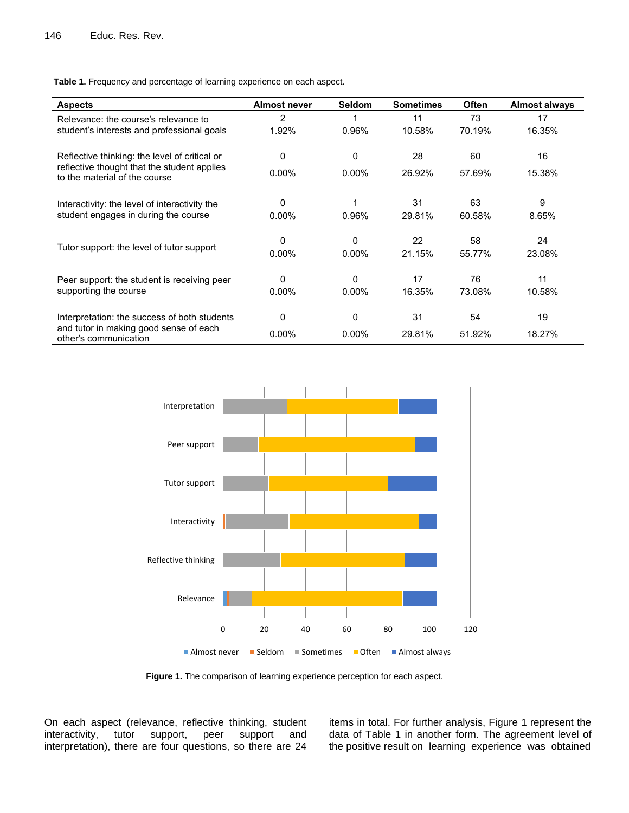$\overline{a}$ 

**Table 1.** Frequency and percentage of learning experience on each aspect.

| <b>Aspects</b>                                                                                                                | <b>Almost never</b> | Seldom   | <b>Sometimes</b> | <b>Often</b> | <b>Almost always</b> |
|-------------------------------------------------------------------------------------------------------------------------------|---------------------|----------|------------------|--------------|----------------------|
| Relevance: the course's relevance to<br>student's interests and professional goals                                            | 2                   | 1        | 11               | 73           | 17                   |
|                                                                                                                               | 1.92%               | 0.96%    | 10.58%           | 70.19%       | 16.35%               |
| Reflective thinking: the level of critical or<br>reflective thought that the student applies<br>to the material of the course | 0                   | 0        | 28               | 60           | 16                   |
|                                                                                                                               | $0.00\%$            | $0.00\%$ | 26.92%           | 57.69%       | 15.38%               |
| Interactivity: the level of interactivity the<br>student engages in during the course                                         | $\Omega$            |          | 31               | 63           | 9                    |
|                                                                                                                               | $0.00\%$            | 0.96%    | 29.81%           | 60.58%       | 8.65%                |
| Tutor support: the level of tutor support                                                                                     | 0                   | 0        | 22               | 58           | 24                   |
|                                                                                                                               | $0.00\%$            | $0.00\%$ | 21.15%           | 55.77%       | 23.08%               |
| Peer support: the student is receiving peer<br>supporting the course                                                          | 0                   | 0        | 17               | 76           | 11                   |
|                                                                                                                               | $0.00\%$            | $0.00\%$ | 16.35%           | 73.08%       | 10.58%               |
| Interpretation: the success of both students<br>and tutor in making good sense of each<br>other's communication               | 0                   | 0        | 31               | 54           | 19                   |
|                                                                                                                               | $0.00\%$            | $0.00\%$ | 29.81%           | 51.92%       | 18.27%               |



**Figure 1.** The comparison of learning experience perception for each aspect.

On each aspect (relevance, reflective thinking, student interactivity, tutor support, peer support and interpretation), there are four questions, so there are 24 items in total. For further analysis, Figure 1 represent the data of Table 1 in another form. The agreement level of the positive result on learning experience was obtained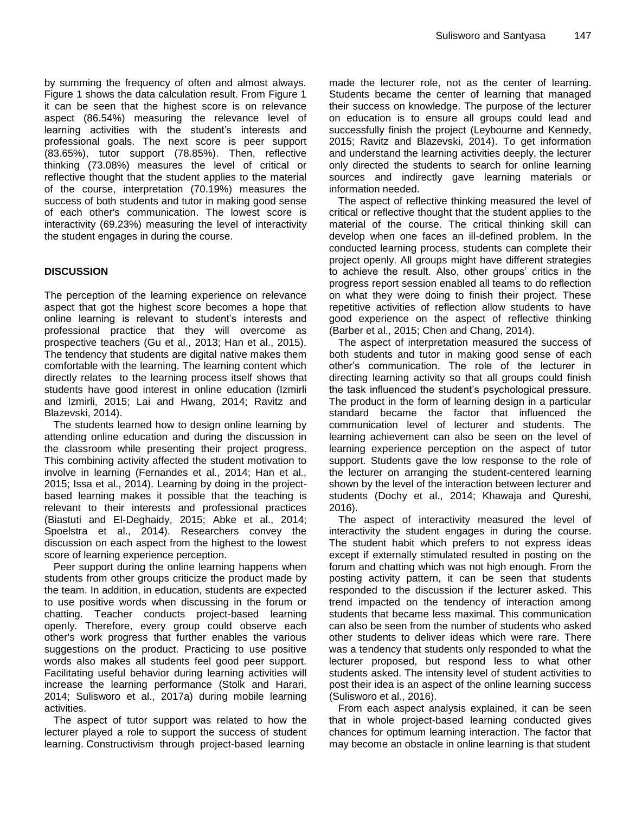by summing the frequency of often and almost always. Figure 1 shows the data calculation result. From Figure 1 it can be seen that the highest score is on relevance aspect (86.54%) measuring the relevance level of learning activities with the student's interests and professional goals. The next score is peer support (83.65%), tutor support (78.85%). Then, reflective thinking (73.08%) measures the level of critical or reflective thought that the student applies to the material of the course, interpretation (70.19%) measures the success of both students and tutor in making good sense of each other's communication. The lowest score is interactivity (69.23%) measuring the level of interactivity the student engages in during the course.

### **DISCUSSION**

The perception of the learning experience on relevance aspect that got the highest score becomes a hope that online learning is relevant to student's interests and professional practice that they will overcome as prospective teachers (Gu et al., 2013; Han et al., 2015). The tendency that students are digital native makes them comfortable with the learning. The learning content which directly relates to the learning process itself shows that students have good interest in online education (Izmirli and Izmirli, 2015; Lai and Hwang, 2014; Ravitz and Blazevski, 2014).

The students learned how to design online learning by attending online education and during the discussion in the classroom while presenting their project progress. This combining activity affected the student motivation to involve in learning (Fernandes et al., 2014; Han et al., 2015; Issa et al., 2014). Learning by doing in the projectbased learning makes it possible that the teaching is relevant to their interests and professional practices (Biastuti and El-Deghaidy, 2015; Abke et al., 2014; Spoelstra et al., 2014). Researchers convey the discussion on each aspect from the highest to the lowest score of learning experience perception.

Peer support during the online learning happens when students from other groups criticize the product made by the team. In addition, in education, students are expected to use positive words when discussing in the forum or chatting. Teacher conducts project-based learning openly. Therefore, every group could observe each other's work progress that further enables the various suggestions on the product. Practicing to use positive words also makes all students feel good peer support. Facilitating useful behavior during learning activities will increase the learning performance (Stolk and Harari, 2014; Sulisworo et al., 2017a) during mobile learning activities.

The aspect of tutor support was related to how the lecturer played a role to support the success of student learning. Constructivism through project-based learning

made the lecturer role, not as the center of learning. Students became the center of learning that managed their success on knowledge. The purpose of the lecturer on education is to ensure all groups could lead and successfully finish the project (Leybourne and Kennedy, 2015; Ravitz and Blazevski, 2014). To get information and understand the learning activities deeply, the lecturer only directed the students to search for online learning sources and indirectly gave learning materials or information needed.

The aspect of reflective thinking measured the level of critical or reflective thought that the student applies to the material of the course. The critical thinking skill can develop when one faces an ill-defined problem. In the conducted learning process, students can complete their project openly. All groups might have different strategies to achieve the result. Also, other groups' critics in the progress report session enabled all teams to do reflection on what they were doing to finish their project. These repetitive activities of reflection allow students to have good experience on the aspect of reflective thinking (Barber et al., 2015; Chen and Chang, 2014).

The aspect of interpretation measured the success of both students and tutor in making good sense of each other's communication. The role of the lecturer in directing learning activity so that all groups could finish the task influenced the student's psychological pressure. The product in the form of learning design in a particular standard became the factor that influenced the communication level of lecturer and students. The learning achievement can also be seen on the level of learning experience perception on the aspect of tutor support. Students gave the low response to the role of the lecturer on arranging the student-centered learning shown by the level of the interaction between lecturer and students (Dochy et al., 2014; Khawaja and Qureshi, 2016).

The aspect of interactivity measured the level of interactivity the student engages in during the course. The student habit which prefers to not express ideas except if externally stimulated resulted in posting on the forum and chatting which was not high enough. From the posting activity pattern, it can be seen that students responded to the discussion if the lecturer asked. This trend impacted on the tendency of interaction among students that became less maximal. This communication can also be seen from the number of students who asked other students to deliver ideas which were rare. There was a tendency that students only responded to what the lecturer proposed, but respond less to what other students asked. The intensity level of student activities to post their idea is an aspect of the online learning success (Sulisworo et al., 2016).

From each aspect analysis explained, it can be seen that in whole project-based learning conducted gives chances for optimum learning interaction. The factor that may become an obstacle in online learning is that student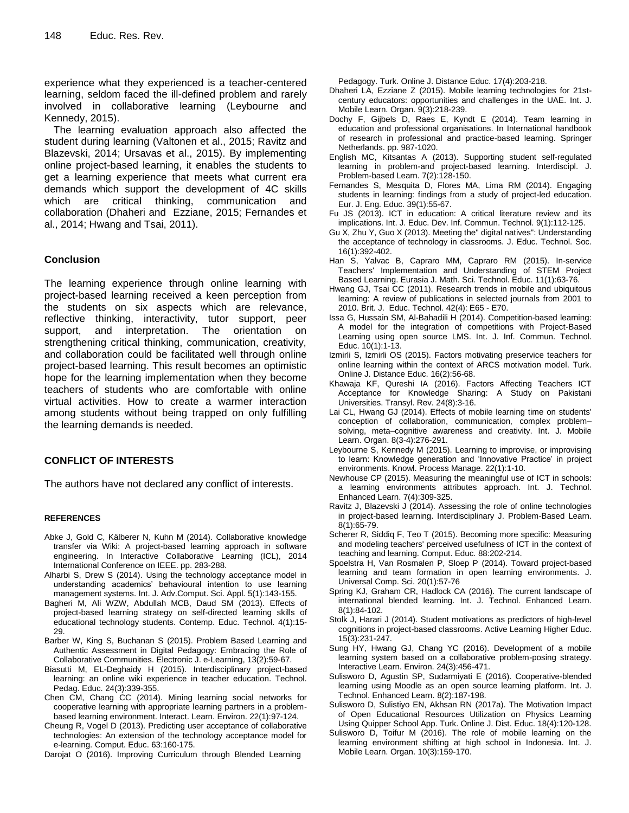experience what they experienced is a teacher-centered learning, seldom faced the ill-defined problem and rarely involved in collaborative learning (Leybourne and Kennedy, 2015).

The learning evaluation approach also affected the student during learning (Valtonen et al., 2015; Ravitz and Blazevski, 2014; Ursavas et al., 2015). By implementing online project-based learning, it enables the students to get a learning experience that meets what current era demands which support the development of 4C skills which are critical thinking, communication and collaboration (Dhaheri and Ezziane, 2015; Fernandes et al., 2014; Hwang and Tsai, 2011).

#### **Conclusion**

The learning experience through online learning with project-based learning received a keen perception from the students on six aspects which are relevance, reflective thinking, interactivity, tutor support, peer support, and interpretation. The orientation on strengthening critical thinking, communication, creativity, and collaboration could be facilitated well through online project-based learning. This result becomes an optimistic hope for the learning implementation when they become teachers of students who are comfortable with online virtual activities. How to create a warmer interaction among students without being trapped on only fulfilling the learning demands is needed.

#### **CONFLICT OF INTERESTS**

The authors have not declared any conflict of interests.

#### **REFERENCES**

- Abke J, Gold C, Kälberer N, Kuhn M (2014). Collaborative knowledge transfer via Wiki: A project-based learning approach in software engineering. In Interactive Collaborative Learning (ICL), 2014 International Conference on IEEE. pp. 283-288.
- Alharbi S, Drew S (2014). Using the technology acceptance model in understanding academics' behavioural intention to use learning management systems. Int. J. Adv.Comput. Sci. Appl. 5(1):143-155.
- Bagheri M, Ali WZW, Abdullah MCB, Daud SM (2013). Effects of project-based learning strategy on self-directed learning skills of educational technology students. Contemp. Educ. Technol. 4(1):15- 29.
- Barber W, King S, Buchanan S (2015). Problem Based Learning and Authentic Assessment in Digital Pedagogy: Embracing the Role of Collaborative Communities. Electronic J. e-Learning, 13(2):59-67.
- Biasutti M, EL-Deghaidy H (2015). Interdisciplinary project-based learning: an online wiki experience in teacher education. Technol. Pedag. Educ. 24(3):339-355.
- Chen CM, Chang CC (2014). Mining learning social networks for cooperative learning with appropriate learning partners in a problembased learning environment. Interact. Learn. Environ. 22(1):97-124.
- Cheung R, Vogel D (2013). Predicting user acceptance of collaborative technologies: An extension of the technology acceptance model for e-learning. Comput. Educ. 63:160-175.

Darojat O (2016). Improving Curriculum through Blended Learning

Pedagogy. Turk. Online J. Distance Educ. 17(4):203-218.

- Dhaheri LA, Ezziane Z (2015). Mobile learning technologies for 21stcentury educators: opportunities and challenges in the UAE. Int. J. Mobile Learn. Organ. 9(3):218-239.
- Dochy F, Gijbels D, Raes E, Kyndt E (2014). Team learning in education and professional organisations. In International handbook of research in professional and practice-based learning. Springer Netherlands. pp. 987-1020.
- English MC, Kitsantas A (2013). Supporting student self-regulated learning in problem-and project-based learning. Interdiscipl. J. Problem-based Learn. 7(2):128-150.
- Fernandes S, Mesquita D, Flores MA, Lima RM (2014). Engaging students in learning: findings from a study of project-led education. Eur. J. Eng. Educ. 39(1):55-67.
- Fu JS (2013). ICT in education: A critical literature review and its implications. Int. J. Educ. Dev. Inf. Commun. Technol. 9(1):112-125.
- Gu X, Zhu Y, Guo X (2013). Meeting the" digital natives": Understanding the acceptance of technology in classrooms. J. Educ. Technol. Soc. 16(1):392-402.
- Han S, Yalvac B, Capraro MM, Capraro RM (2015). In-service Teachers' Implementation and Understanding of STEM Project Based Learning. Eurasia J. Math. Sci. Technol. Educ. 11(1):63-76.
- Hwang GJ, Tsai CC (2011). Research trends in mobile and ubiquitous learning: A review of publications in selected journals from 2001 to 2010. Brit. J. Educ. Technol. 42(4): E65 - E70.
- Issa G, Hussain SM, Al-Bahadili H (2014). Competition-based learning: A model for the integration of competitions with Project-Based Learning using open source LMS. Int. J. Inf. Commun. Technol. Educ. 10(1):1-13.
- Izmirli S, Izmirli OS (2015). Factors motivating preservice teachers for online learning within the context of ARCS motivation model. Turk. Online J. Distance Educ. 16(2):56-68.
- Khawaja KF, Qureshi IA (2016). Factors Affecting Teachers ICT Acceptance for Knowledge Sharing: A Study on Pakistani Universities. Transyl. Rev. 24(8):3-16.
- Lai CL, Hwang GJ (2014). Effects of mobile learning time on students' conception of collaboration, communication, complex problem– solving, meta–cognitive awareness and creativity. Int. J. Mobile Learn. Organ. 8(3-4):276-291.
- Leybourne S, Kennedy M (2015). Learning to improvise, or improvising to learn: Knowledge generation and 'Innovative Practice' in project environments. Knowl. Process Manage. 22(1):1-10.
- Newhouse CP (2015). Measuring the meaningful use of ICT in schools: a learning environments attributes approach. Int. J. Technol. Enhanced Learn. 7(4):309-325.
- Ravitz J, Blazevski J (2014). Assessing the role of online technologies in project-based learning. Interdisciplinary J. Problem-Based Learn. 8(1):65-79.
- Scherer R, Siddiq F, Teo T (2015). Becoming more specific: Measuring and modeling teachers' perceived usefulness of ICT in the context of teaching and learning. Comput. Educ. 88:202-214.
- Spoelstra H, Van Rosmalen P, Sloep P (2014). Toward project-based learning and team formation in open learning environments. J. Universal Comp. Sci. 20(1):57-76
- Spring KJ, Graham CR, Hadlock CA (2016). The current landscape of international blended learning. Int. J. Technol. Enhanced Learn. 8(1):84-102.
- Stolk J, Harari J (2014). Student motivations as predictors of high-level cognitions in project-based classrooms. Active Learning Higher Educ. 15(3):231-247.
- Sung HY, Hwang GJ, Chang YC (2016). Development of a mobile learning system based on a collaborative problem-posing strategy. Interactive Learn. Environ. 24(3):456-471.
- Sulisworo D, Agustin SP, Sudarmiyati E (2016). Cooperative-blended learning using Moodle as an open source learning platform. Int. J. Technol. Enhanced Learn. 8(2):187-198.
- Sulisworo D, Sulistiyo EN, Akhsan RN (2017a). The Motivation Impact of Open Educational Resources Utilization on Physics Learning Using Quipper School App. Turk. Online J. Dist. Educ. 18(4):120-128.
- Sulisworo D, Toifur M (2016). The role of mobile learning on the learning environment shifting at high school in Indonesia. Int. J. Mobile Learn. Organ. 10(3):159-170.